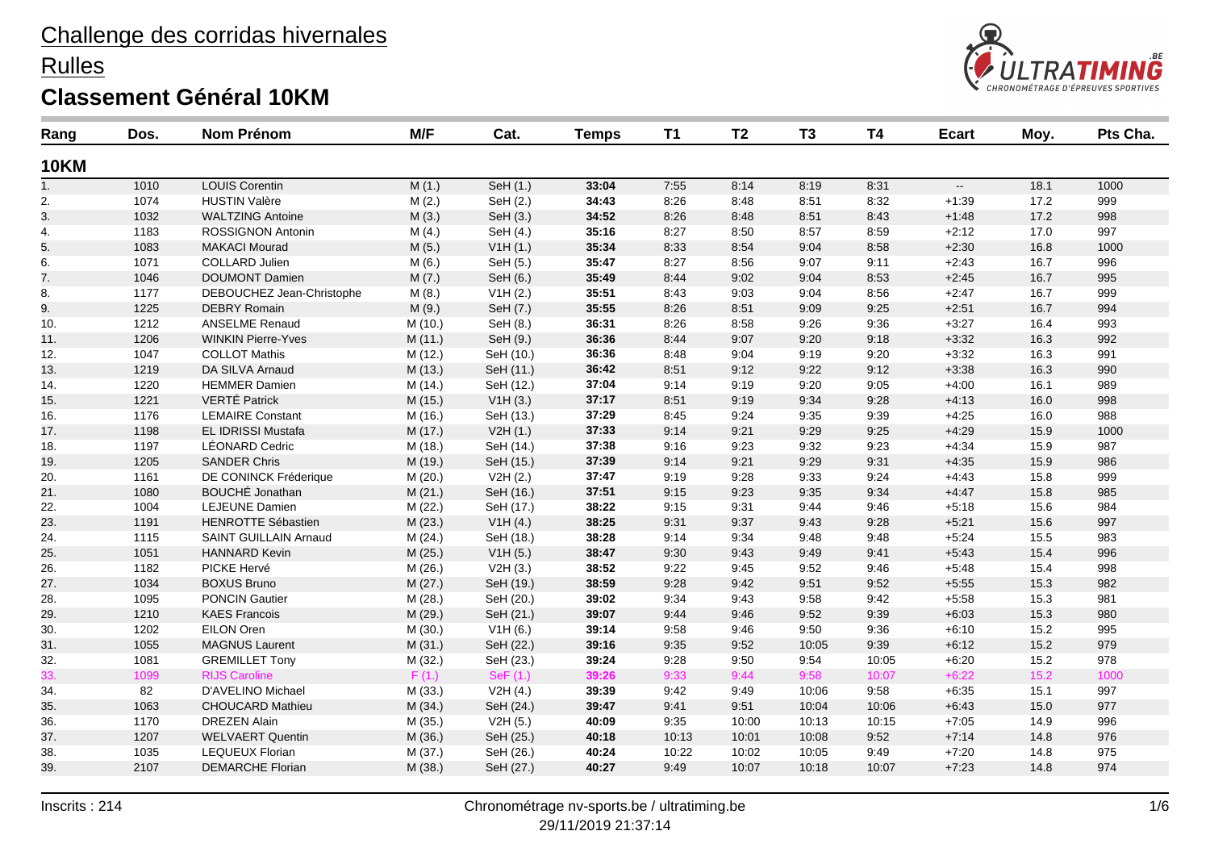#### **Rulles**



| Rang        | Dos. | <b>Nom Prénom</b>            | M/F     | Cat.      | <b>Temps</b> | T1    | T <sub>2</sub> | T <sub>3</sub> | <b>T4</b> | <b>Ecart</b> | Moy. | Pts Cha. |
|-------------|------|------------------------------|---------|-----------|--------------|-------|----------------|----------------|-----------|--------------|------|----------|
| <b>10KM</b> |      |                              |         |           |              |       |                |                |           |              |      |          |
| 1.          | 1010 | <b>LOUIS Corentin</b>        | M(1.)   | SeH (1.)  | 33:04        | 7:55  | 8:14           | 8:19           | 8:31      | $\sim$       | 18.1 | 1000     |
| 2.          | 1074 | <b>HUSTIN Valère</b>         | M(2.)   | SeH (2.)  | 34:43        | 8:26  | 8:48           | 8:51           | 8:32      | $+1:39$      | 17.2 | 999      |
| 3.          | 1032 | <b>WALTZING Antoine</b>      | M(3.)   | SeH (3.)  | 34:52        | 8:26  | 8:48           | 8:51           | 8:43      | $+1:48$      | 17.2 | 998      |
| 4.          | 1183 | <b>ROSSIGNON Antonin</b>     | M(4.)   | SeH (4.)  | 35:16        | 8:27  | 8:50           | 8:57           | 8:59      | $+2:12$      | 17.0 | 997      |
| 5.          | 1083 | <b>MAKACI Mourad</b>         | M(5.)   | V1H(1.)   | 35:34        | 8:33  | 8:54           | 9:04           | 8:58      | $+2:30$      | 16.8 | 1000     |
| 6.          | 1071 | <b>COLLARD Julien</b>        | M(6.)   | SeH (5.)  | 35:47        | 8:27  | 8:56           | 9:07           | 9:11      | $+2:43$      | 16.7 | 996      |
| 7.          | 1046 | <b>DOUMONT Damien</b>        | M(7.)   | SeH (6.)  | 35:49        | 8:44  | 9:02           | 9:04           | 8:53      | $+2:45$      | 16.7 | 995      |
| 8.          | 1177 | DEBOUCHEZ Jean-Christophe    | M(8.)   | V1H(2.)   | 35:51        | 8:43  | 9:03           | 9:04           | 8:56      | $+2:47$      | 16.7 | 999      |
| 9.          | 1225 | <b>DEBRY Romain</b>          | M(9.)   | SeH (7.)  | 35:55        | 8:26  | 8:51           | 9:09           | 9:25      | $+2:51$      | 16.7 | 994      |
| 10.         | 1212 | <b>ANSELME Renaud</b>        | M(10.)  | SeH (8.)  | 36:31        | 8:26  | 8:58           | 9:26           | 9:36      | $+3:27$      | 16.4 | 993      |
| 11.         | 1206 | <b>WINKIN Pierre-Yves</b>    | M (11.) | SeH (9.)  | 36:36        | 8:44  | 9:07           | 9:20           | 9:18      | $+3:32$      | 16.3 | 992      |
| 12.         | 1047 | <b>COLLOT Mathis</b>         | M (12.) | SeH (10.) | 36:36        | 8:48  | 9:04           | 9:19           | 9:20      | $+3:32$      | 16.3 | 991      |
| 13.         | 1219 | DA SILVA Arnaud              | M (13.) | SeH (11.) | 36:42        | 8:51  | 9:12           | 9:22           | 9:12      | $+3:38$      | 16.3 | 990      |
| 14.         | 1220 | <b>HEMMER Damien</b>         | M (14.) | SeH (12.) | 37:04        | 9:14  | 9:19           | 9:20           | 9:05      | $+4:00$      | 16.1 | 989      |
| 15.         | 1221 | <b>VERTÉ Patrick</b>         | M (15.) | V1H(3.)   | 37:17        | 8:51  | 9:19           | 9:34           | 9:28      | $+4:13$      | 16.0 | 998      |
| 16.         | 1176 | <b>LEMAIRE Constant</b>      | M (16.) | SeH (13.) | 37:29        | 8:45  | 9:24           | 9:35           | 9:39      | $+4:25$      | 16.0 | 988      |
| 17.         | 1198 | EL IDRISSI Mustafa           | M (17.) | V2H(1.)   | 37:33        | 9:14  | 9:21           | 9:29           | 9:25      | $+4:29$      | 15.9 | 1000     |
| 18.         | 1197 | <b>LÉONARD Cedric</b>        | M (18.) | SeH (14.) | 37:38        | 9:16  | 9:23           | 9:32           | 9:23      | $+4:34$      | 15.9 | 987      |
| 19.         | 1205 | <b>SANDER Chris</b>          | M (19.) | SeH (15.) | 37:39        | 9:14  | 9:21           | 9:29           | 9:31      | $+4:35$      | 15.9 | 986      |
| 20.         | 1161 | DE CONINCK Fréderique        | M (20.) | V2H(2.)   | 37:47        | 9:19  | 9:28           | 9:33           | 9:24      | $+4.43$      | 15.8 | 999      |
| 21.         | 1080 | <b>BOUCHÉ Jonathan</b>       | M(21.)  | SeH (16.) | 37:51        | 9:15  | 9:23           | 9:35           | 9:34      | $+4:47$      | 15.8 | 985      |
| 22.         | 1004 | <b>LEJEUNE Damien</b>        | M (22.) | SeH (17.) | 38:22        | 9:15  | 9:31           | 9:44           | 9:46      | $+5:18$      | 15.6 | 984      |
| 23.         | 1191 | <b>HENROTTE Sébastien</b>    | M (23.) | V1H(4.)   | 38:25        | 9:31  | 9:37           | 9:43           | 9:28      | $+5:21$      | 15.6 | 997      |
| 24.         | 1115 | <b>SAINT GUILLAIN Arnaud</b> | M (24.) | SeH (18.) | 38:28        | 9:14  | 9:34           | 9:48           | 9:48      | $+5:24$      | 15.5 | 983      |
| 25.         | 1051 | <b>HANNARD Kevin</b>         | M (25.) | V1H(5.)   | 38:47        | 9:30  | 9:43           | 9:49           | 9:41      | $+5.43$      | 15.4 | 996      |
| 26.         | 1182 | PICKE Hervé                  | M (26.) | V2H(3.)   | 38:52        | 9:22  | 9:45           | 9:52           | 9:46      | $+5:48$      | 15.4 | 998      |
| 27.         | 1034 | <b>BOXUS Bruno</b>           | M (27.) | SeH (19.) | 38:59        | 9:28  | 9:42           | 9:51           | 9:52      | $+5:55$      | 15.3 | 982      |
| 28.         | 1095 | <b>PONCIN Gautier</b>        | M (28.) | SeH (20.) | 39:02        | 9:34  | 9:43           | 9:58           | 9:42      | $+5:58$      | 15.3 | 981      |
| 29.         | 1210 | <b>KAES Francois</b>         | M (29.) | SeH (21.) | 39:07        | 9:44  | 9:46           | 9:52           | 9:39      | $+6:03$      | 15.3 | 980      |
| 30.         | 1202 | EILON Oren                   | M (30.) | V1H(6.)   | 39:14        | 9:58  | 9:46           | 9:50           | 9:36      | $+6:10$      | 15.2 | 995      |
| 31.         | 1055 | <b>MAGNUS Laurent</b>        | M (31.) | SeH (22.) | 39:16        | 9:35  | 9:52           | 10:05          | 9:39      | $+6:12$      | 15.2 | 979      |
| 32.         | 1081 | <b>GREMILLET Tony</b>        | M (32.) | SeH (23.) | 39:24        | 9:28  | 9:50           | 9:54           | 10:05     | $+6:20$      | 15.2 | 978      |
| 33.         | 1099 | <b>RIJS Caroline</b>         | F(1.)   | SeF (1.)  | 39:26        | 9:33  | 9:44           | 9:58           | 10:07     | $+6:22$      | 15.2 | 1000     |
| 34.         | 82   | D'AVELINO Michael            | M (33.) | V2H(4.)   | 39:39        | 9:42  | 9:49           | 10:06          | 9:58      | $+6:35$      | 15.1 | 997      |
| 35.         | 1063 | <b>CHOUCARD Mathieu</b>      | M (34.) | SeH (24.) | 39:47        | 9:41  | 9:51           | 10:04          | 10:06     | $+6:43$      | 15.0 | 977      |
| 36.         | 1170 | <b>DREZEN Alain</b>          | M (35.) | V2H(5.)   | 40:09        | 9:35  | 10:00          | 10:13          | 10:15     | $+7:05$      | 14.9 | 996      |
| 37.         | 1207 | <b>WELVAERT Quentin</b>      | M (36.) | SeH (25.) | 40:18        | 10:13 | 10:01          | 10:08          | 9:52      | $+7:14$      | 14.8 | 976      |
| 38.         | 1035 | <b>LEQUEUX Florian</b>       | M (37.) | SeH (26.) | 40:24        | 10:22 | 10:02          | 10:05          | 9:49      | $+7:20$      | 14.8 | 975      |
| 39.         | 2107 | <b>DEMARCHE Florian</b>      | M (38.) | SeH (27.) | 40:27        | 9:49  | 10:07          | 10:18          | 10:07     | $+7:23$      | 14.8 | 974      |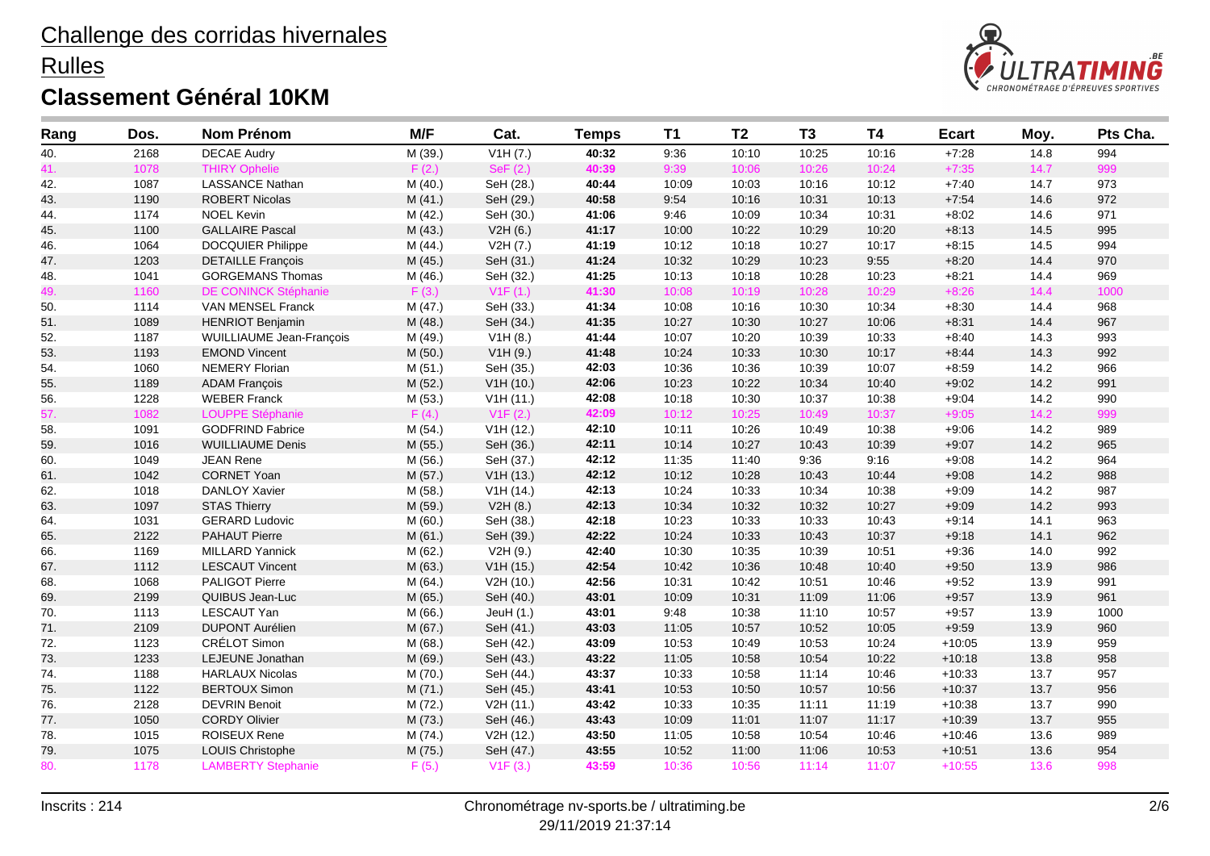**Rulles** 



| Rang | Dos. | Nom Prénom                | M/F     | Cat.      | Temps | <b>T1</b> | T <sub>2</sub> | T <sub>3</sub> | <b>T4</b> | <b>Ecart</b> | Moy. | Pts Cha. |
|------|------|---------------------------|---------|-----------|-------|-----------|----------------|----------------|-----------|--------------|------|----------|
| 40.  | 2168 | <b>DECAE Audry</b>        | M (39.) | V1H (7.)  | 40:32 | 9:36      | 10:10          | 10:25          | 10:16     | $+7:28$      | 14.8 | 994      |
| 41.  | 1078 | <b>THIRY Ophelie</b>      | F(2.)   | SeF (2.)  | 40:39 | 9:39      | 10:06          | 10:26          | 10:24     | $+7:35$      | 14.7 | 999      |
| 42.  | 1087 | <b>LASSANCE Nathan</b>    | M (40.) | SeH (28.) | 40:44 | 10:09     | 10:03          | 10:16          | 10:12     | $+7:40$      | 14.7 | 973      |
| 43.  | 1190 | <b>ROBERT Nicolas</b>     | M(41.)  | SeH (29.) | 40:58 | 9:54      | 10:16          | 10:31          | 10:13     | $+7:54$      | 14.6 | 972      |
| 44.  | 1174 | <b>NOEL Kevin</b>         | M (42.) | SeH (30.) | 41:06 | 9:46      | 10:09          | 10:34          | 10:31     | $+8:02$      | 14.6 | 971      |
| 45.  | 1100 | <b>GALLAIRE Pascal</b>    | M (43.) | V2H(6.)   | 41:17 | 10:00     | 10:22          | 10:29          | 10:20     | $+8:13$      | 14.5 | 995      |
| 46.  | 1064 | <b>DOCQUIER Philippe</b>  | M (44.) | V2H (7.)  | 41:19 | 10:12     | 10:18          | 10:27          | 10:17     | $+8:15$      | 14.5 | 994      |
| 47.  | 1203 | <b>DETAILLE François</b>  | M (45.) | SeH (31.) | 41:24 | 10:32     | 10:29          | 10:23          | 9:55      | $+8:20$      | 14.4 | 970      |
| 48.  | 1041 | <b>GORGEMANS Thomas</b>   | M (46.) | SeH (32.) | 41:25 | 10:13     | 10:18          | 10:28          | 10:23     | $+8:21$      | 14.4 | 969      |
| 49.  | 1160 | DE CONINCK Stéphanie      | F(3.)   | V1F(1.)   | 41:30 | 10:08     | 10:19          | 10:28          | 10:29     | $+8:26$      | 14.4 | 1000     |
| 50.  | 1114 | VAN MENSEL Franck         | M(47.)  | SeH (33.) | 41:34 | 10:08     | 10:16          | 10:30          | 10:34     | $+8:30$      | 14.4 | 968      |
| 51.  | 1089 | <b>HENRIOT Benjamin</b>   | M (48.) | SeH (34.) | 41:35 | 10:27     | 10:30          | 10:27          | 10:06     | $+8:31$      | 14.4 | 967      |
| 52.  | 1187 | WUILLIAUME Jean-François  | M (49.) | V1H(8.)   | 41:44 | 10:07     | 10:20          | 10:39          | 10:33     | $+8:40$      | 14.3 | 993      |
| 53.  | 1193 | <b>EMOND Vincent</b>      | M (50.) | V1H(9.)   | 41:48 | 10:24     | 10:33          | 10:30          | 10:17     | $+8:44$      | 14.3 | 992      |
| 54.  | 1060 | NEMERY Florian            | M(51.)  | SeH (35.) | 42:03 | 10:36     | 10:36          | 10:39          | 10:07     | $+8:59$      | 14.2 | 966      |
| 55.  | 1189 | <b>ADAM François</b>      | M(52.)  | V1H(10.)  | 42:06 | 10:23     | 10:22          | 10:34          | 10:40     | $+9:02$      | 14.2 | 991      |
| 56.  | 1228 | <b>WEBER Franck</b>       | M (53.) | V1H(11.)  | 42:08 | 10:18     | 10:30          | 10:37          | 10:38     | $+9:04$      | 14.2 | 990      |
| 57.  | 1082 | LOUPPE Stéphanie          | F(4.)   | V1F(2.)   | 42:09 | 10:12     | 10:25          | 10:49          | 10:37     | $+9:05$      | 14.2 | 999      |
| 58.  | 1091 | <b>GODFRIND Fabrice</b>   | M (54.) | V1H(12.)  | 42:10 | 10:11     | 10:26          | 10:49          | 10:38     | $+9:06$      | 14.2 | 989      |
| 59.  | 1016 | <b>WUILLIAUME Denis</b>   | M (55.) | SeH (36.) | 42:11 | 10:14     | 10:27          | 10:43          | 10:39     | $+9:07$      | 14.2 | 965      |
| 60.  | 1049 | <b>JEAN Rene</b>          | M (56.) | SeH (37.) | 42:12 | 11:35     | 11:40          | 9:36           | 9:16      | $+9:08$      | 14.2 | 964      |
| 61.  | 1042 | <b>CORNET Yoan</b>        | M (57.) | V1H(13.)  | 42:12 | 10:12     | 10:28          | 10:43          | 10:44     | $+9:08$      | 14.2 | 988      |
| 62.  | 1018 | <b>DANLOY Xavier</b>      | M (58.) | V1H(14.)  | 42:13 | 10:24     | 10:33          | 10:34          | 10:38     | $+9:09$      | 14.2 | 987      |
| 63.  | 1097 | <b>STAS Thierry</b>       | M (59.) | V2H(8.)   | 42:13 | 10:34     | 10:32          | 10:32          | 10:27     | $+9:09$      | 14.2 | 993      |
| 64.  | 1031 | <b>GERARD Ludovic</b>     | M(60.)  | SeH (38.) | 42:18 | 10:23     | 10:33          | 10:33          | 10:43     | $+9:14$      | 14.1 | 963      |
| 65.  | 2122 | <b>PAHAUT Pierre</b>      | M (61.) | SeH (39.) | 42:22 | 10:24     | 10:33          | 10:43          | 10:37     | $+9:18$      | 14.1 | 962      |
| 66.  | 1169 | <b>MILLARD Yannick</b>    | M (62.) | V2H(9.)   | 42:40 | 10:30     | 10:35          | 10:39          | 10:51     | $+9:36$      | 14.0 | 992      |
| 67.  | 1112 | <b>LESCAUT Vincent</b>    | M (63.) | V1H(15.)  | 42:54 | 10:42     | 10:36          | 10:48          | 10:40     | $+9:50$      | 13.9 | 986      |
| 68.  | 1068 | PALIGOT Pierre            | M (64.) | V2H (10.) | 42:56 | 10:31     | 10:42          | 10:51          | 10:46     | $+9:52$      | 13.9 | 991      |
| 69.  | 2199 | QUIBUS Jean-Luc           | M (65.) | SeH (40.) | 43:01 | 10:09     | 10:31          | 11:09          | 11:06     | $+9:57$      | 13.9 | 961      |
| 70.  | 1113 | LESCAUT Yan               | M (66.) | JeuH (1.) | 43:01 | 9:48      | 10:38          | 11:10          | 10:57     | $+9:57$      | 13.9 | 1000     |
| 71.  | 2109 | <b>DUPONT Aurélien</b>    | M (67.) | SeH (41.) | 43:03 | 11:05     | 10:57          | 10:52          | 10:05     | $+9:59$      | 13.9 | 960      |
| 72.  | 1123 | CRÉLOT Simon              | M (68.) | SeH (42.) | 43:09 | 10:53     | 10:49          | 10:53          | 10:24     | $+10:05$     | 13.9 | 959      |
| 73.  | 1233 | LEJEUNE Jonathan          | M (69.) | SeH (43.) | 43:22 | 11:05     | 10:58          | 10:54          | 10:22     | $+10:18$     | 13.8 | 958      |
| 74.  | 1188 | <b>HARLAUX Nicolas</b>    | M (70.) | SeH (44.) | 43:37 | 10:33     | 10:58          | 11:14          | 10:46     | $+10:33$     | 13.7 | 957      |
| 75.  | 1122 | <b>BERTOUX Simon</b>      | M (71.) | SeH (45.) | 43:41 | 10:53     | 10:50          | 10:57          | 10:56     | $+10:37$     | 13.7 | 956      |
| 76.  | 2128 | <b>DEVRIN Benoit</b>      | M (72.) | V2H (11.) | 43:42 | 10:33     | 10:35          | 11:11          | 11:19     | $+10:38$     | 13.7 | 990      |
| 77.  | 1050 | <b>CORDY Olivier</b>      | M (73.) | SeH (46.) | 43:43 | 10:09     | 11:01          | 11:07          | 11:17     | $+10:39$     | 13.7 | 955      |
| 78.  | 1015 | <b>ROISEUX Rene</b>       | M (74.) | V2H (12.) | 43:50 | 11:05     | 10:58          | 10:54          | 10:46     | $+10:46$     | 13.6 | 989      |
| 79.  | 1075 | <b>LOUIS Christophe</b>   | M (75.) | SeH (47.) | 43:55 | 10:52     | 11:00          | 11:06          | 10:53     | $+10.51$     | 13.6 | 954      |
| 80.  | 1178 | <b>LAMBERTY Stephanie</b> | F(5.)   | V1F(3.)   | 43:59 | 10:36     | 10:56          | 11:14          | 11:07     | $+10:55$     | 13.6 | 998      |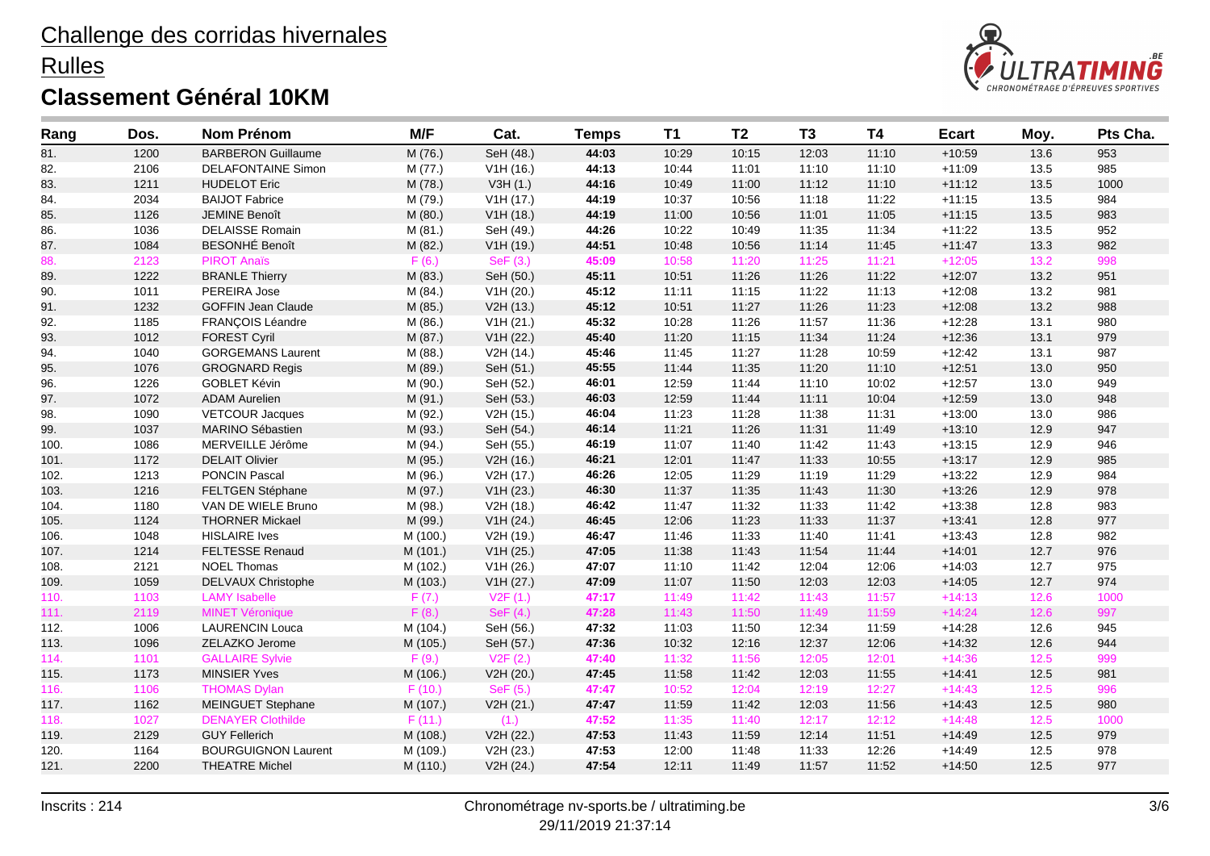**Rulles** 



| Rang | Dos. | <b>Nom Prénom</b>          | M/F      | Cat.      | <b>Temps</b> | <b>T1</b> | T <sub>2</sub> | T <sub>3</sub> | <b>T4</b> | <b>Ecart</b> | Moy. | Pts Cha. |
|------|------|----------------------------|----------|-----------|--------------|-----------|----------------|----------------|-----------|--------------|------|----------|
| 81.  | 1200 | <b>BARBERON Guillaume</b>  | M (76.)  | SeH (48.) | 44:03        | 10:29     | 10:15          | 12:03          | 11:10     | $+10:59$     | 13.6 | 953      |
| 82.  | 2106 | <b>DELAFONTAINE Simon</b>  | M (77.)  | V1H(16.)  | 44:13        | 10:44     | 11:01          | 11:10          | 11:10     | $+11:09$     | 13.5 | 985      |
| 83.  | 1211 | <b>HUDELOT Eric</b>        | M (78.)  | V3H(1.)   | 44:16        | 10:49     | 11:00          | 11:12          | 11:10     | $+11:12$     | 13.5 | 1000     |
| 84.  | 2034 | <b>BAIJOT Fabrice</b>      | M (79.)  | V1H(17.)  | 44:19        | 10:37     | 10:56          | 11:18          | 11:22     | $+11:15$     | 13.5 | 984      |
| 85.  | 1126 | JEMINE Benoît              | M (80.)  | V1H(18.)  | 44:19        | 11:00     | 10:56          | 11:01          | 11:05     | $+11:15$     | 13.5 | 983      |
| 86.  | 1036 | <b>DELAISSE Romain</b>     | M (81.)  | SeH (49.) | 44:26        | 10:22     | 10:49          | 11:35          | 11:34     | $+11:22$     | 13.5 | 952      |
| 87.  | 1084 | <b>BESONHÉ Benoît</b>      | M (82.)  | V1H (19.) | 44:51        | 10:48     | 10:56          | 11:14          | 11:45     | $+11:47$     | 13.3 | 982      |
| 88.  | 2123 | <b>PIROT Anaïs</b>         | F(6.)    | SeF (3.)  | 45:09        | 10:58     | 11:20          | 11:25          | 11:21     | $+12:05$     | 13.2 | 998      |
| 89.  | 1222 | <b>BRANLE Thierry</b>      | M (83.)  | SeH (50.) | 45:11        | 10:51     | 11:26          | 11:26          | 11:22     | $+12:07$     | 13.2 | 951      |
| 90.  | 1011 | PEREIRA Jose               | M (84.)  | V1H (20.) | 45:12        | 11:11     | 11:15          | 11:22          | 11:13     | $+12:08$     | 13.2 | 981      |
| 91.  | 1232 | <b>GOFFIN Jean Claude</b>  | M (85.)  | V2H (13.) | 45:12        | 10:51     | 11:27          | 11:26          | 11:23     | $+12:08$     | 13.2 | 988      |
| 92.  | 1185 | FRANÇOIS Léandre           | M (86.)  | V1H (21.) | 45:32        | 10:28     | 11:26          | 11:57          | 11:36     | $+12:28$     | 13.1 | 980      |
| 93.  | 1012 | <b>FOREST Cyril</b>        | M (87.)  | V1H (22.) | 45:40        | 11:20     | 11:15          | 11:34          | 11:24     | $+12:36$     | 13.1 | 979      |
| 94.  | 1040 | <b>GORGEMANS Laurent</b>   | M (88.)  | V2H (14.) | 45:46        | 11:45     | 11:27          | 11:28          | 10:59     | $+12:42$     | 13.1 | 987      |
| 95.  | 1076 | <b>GROGNARD Regis</b>      | M (89.)  | SeH (51.) | 45:55        | 11:44     | 11:35          | 11:20          | 11:10     | $+12:51$     | 13.0 | 950      |
| 96.  | 1226 | GOBLET Kévin               | M (90.)  | SeH (52.) | 46:01        | 12:59     | 11:44          | 11:10          | 10:02     | $+12:57$     | 13.0 | 949      |
| 97.  | 1072 | <b>ADAM Aurelien</b>       | M (91.)  | SeH (53.) | 46:03        | 12:59     | 11:44          | 11:11          | 10:04     | $+12:59$     | 13.0 | 948      |
| 98.  | 1090 | <b>VETCOUR Jacques</b>     | M (92.)  | V2H (15.) | 46:04        | 11:23     | 11:28          | 11:38          | 11:31     | $+13:00$     | 13.0 | 986      |
| 99.  | 1037 | MARINO Sébastien           | M (93.)  | SeH (54.) | 46:14        | 11:21     | 11:26          | 11:31          | 11:49     | $+13:10$     | 12.9 | 947      |
| 100. | 1086 | MERVEILLE Jérôme           | M (94.)  | SeH (55.) | 46:19        | 11:07     | 11:40          | 11:42          | 11:43     | $+13:15$     | 12.9 | 946      |
| 101. | 1172 | <b>DELAIT Olivier</b>      | M (95.)  | V2H (16.) | 46:21        | 12:01     | 11:47          | 11:33          | 10:55     | $+13:17$     | 12.9 | 985      |
| 102. | 1213 | <b>PONCIN Pascal</b>       | M (96.)  | V2H (17.) | 46:26        | 12:05     | 11:29          | 11:19          | 11:29     | $+13:22$     | 12.9 | 984      |
| 103. | 1216 | FELTGEN Stéphane           | M (97.)  | V1H (23.) | 46:30        | 11:37     | 11:35          | 11:43          | 11:30     | $+13:26$     | 12.9 | 978      |
| 104. | 1180 | VAN DE WIELE Bruno         | M (98.)  | V2H (18.) | 46:42        | 11:47     | 11:32          | 11:33          | 11:42     | $+13:38$     | 12.8 | 983      |
| 105. | 1124 | <b>THORNER Mickael</b>     | M (99.)  | V1H (24.) | 46:45        | 12:06     | 11:23          | 11:33          | 11:37     | $+13:41$     | 12.8 | 977      |
| 106. | 1048 | <b>HISLAIRE</b> Ives       | M (100.) | V2H (19.) | 46:47        | 11:46     | 11:33          | 11:40          | 11:41     | $+13:43$     | 12.8 | 982      |
| 107. | 1214 | FELTESSE Renaud            | M (101.) | V1H (25.) | 47:05        | 11:38     | 11:43          | 11:54          | 11:44     | $+14:01$     | 12.7 | 976      |
| 108. | 2121 | <b>NOEL Thomas</b>         | M (102.) | V1H (26.) | 47:07        | 11:10     | 11:42          | 12:04          | 12:06     | $+14:03$     | 12.7 | 975      |
| 109. | 1059 | DELVAUX Christophe         | M (103.) | V1H (27.) | 47:09        | 11:07     | 11:50          | 12:03          | 12:03     | $+14:05$     | 12.7 | 974      |
| 110. | 1103 | <b>LAMY Isabelle</b>       | F(7.)    | V2F(1.)   | 47:17        | 11:49     | 11:42          | 11:43          | 11:57     | $+14:13$     | 12.6 | 1000     |
| 111. | 2119 | <b>MINET Véronique</b>     | F(8.)    | SeF (4.)  | 47:28        | 11:43     | 11:50          | 11:49          | 11:59     | $+14:24$     | 12.6 | 997      |
| 112. | 1006 | <b>LAURENCIN Louca</b>     | M (104.) | SeH (56.) | 47:32        | 11:03     | 11:50          | 12:34          | 11:59     | $+14.28$     | 12.6 | 945      |
| 113. | 1096 | ZELAZKO Jerome             | M (105.) | SeH (57.) | 47:36        | 10:32     | 12:16          | 12:37          | 12:06     | $+14:32$     | 12.6 | 944      |
| 114. | 1101 | <b>GALLAIRE Sylvie</b>     | F(9.)    | V2F(2.)   | 47:40        | 11:32     | 11:56          | 12:05          | 12:01     | $+14:36$     | 12.5 | 999      |
| 115. | 1173 | <b>MINSIER Yves</b>        | M (106.) | V2H (20.) | 47:45        | 11:58     | 11:42          | 12:03          | 11:55     | $+14.41$     | 12.5 | 981      |
| 116. | 1106 | <b>THOMAS Dylan</b>        | F(10.)   | SeF (5.)  | 47:47        | 10:52     | 12:04          | 12:19          | 12:27     | $+14:43$     | 12.5 | 996      |
| 117. | 1162 | <b>MEINGUET Stephane</b>   | M (107.) | V2H (21.) | 47:47        | 11:59     | 11:42          | 12:03          | 11:56     | $+14.43$     | 12.5 | 980      |
| 118. | 1027 | <b>DENAYER Clothilde</b>   | F(11.)   | (1.)      | 47:52        | 11:35     | 11:40          | 12:17          | 12:12     | $+14:48$     | 12.5 | 1000     |
| 119. | 2129 | <b>GUY Fellerich</b>       | M (108.) | V2H (22.) | 47:53        | 11:43     | 11:59          | 12:14          | 11:51     | $+14.49$     | 12.5 | 979      |
| 120. | 1164 | <b>BOURGUIGNON Laurent</b> | M (109.) | V2H (23.) | 47:53        | 12:00     | 11:48          | 11:33          | 12:26     | $+14:49$     | 12.5 | 978      |
| 121. | 2200 | <b>THEATRE Michel</b>      | M (110.) | V2H (24.) | 47:54        | 12:11     | 11:49          | 11:57          | 11:52     | $+14:50$     | 12.5 | 977      |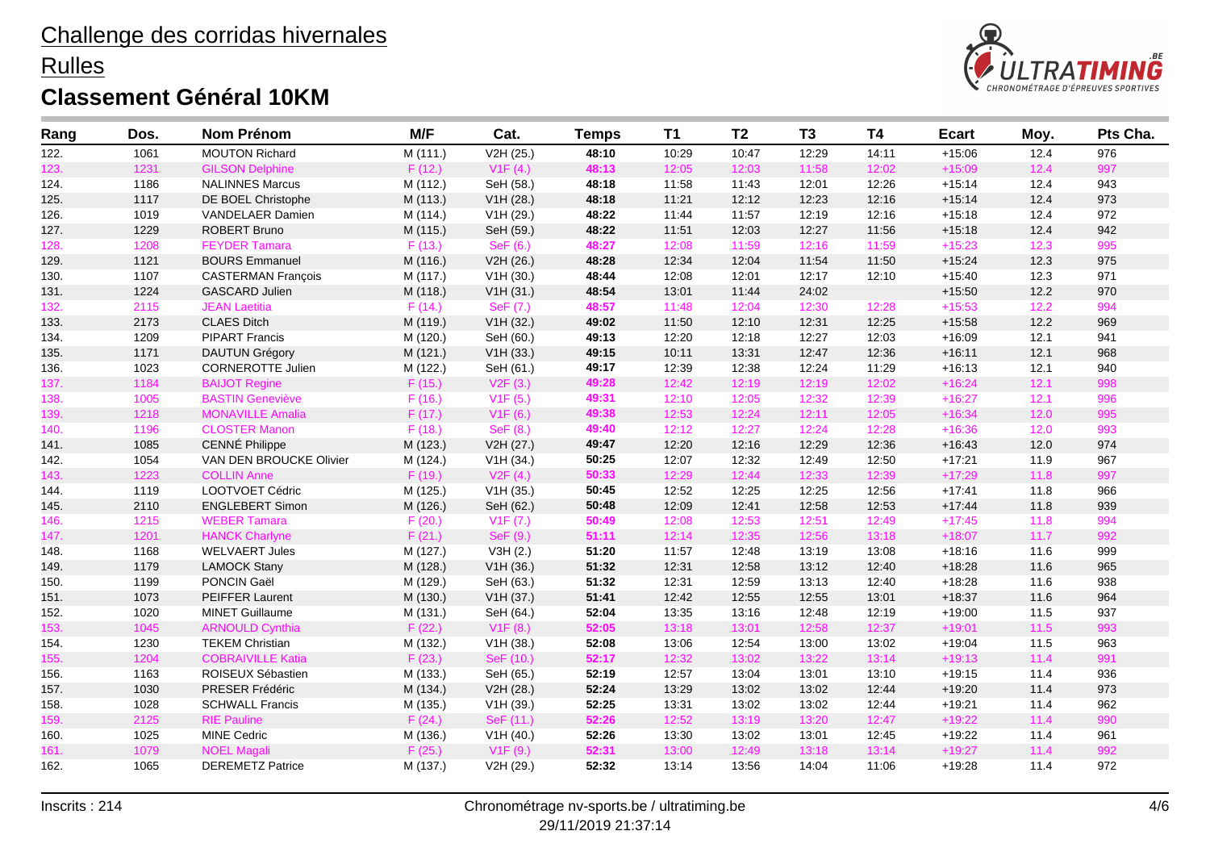**Rulles** 



| Rang | Dos. | Nom Prénom                | M/F      | Cat.      | <b>Temps</b> | <b>T1</b> | T <sub>2</sub> | T <sub>3</sub> | <b>T4</b> | <b>Ecart</b> | Moy.   | Pts Cha. |
|------|------|---------------------------|----------|-----------|--------------|-----------|----------------|----------------|-----------|--------------|--------|----------|
| 122. | 1061 | <b>MOUTON Richard</b>     | M (111.) | V2H (25.) | 48:10        | 10:29     | 10:47          | 12:29          | 14:11     | $+15:06$     | 12.4   | 976      |
| 123. | 1231 | <b>GILSON Delphine</b>    | F(12.)   | V1F(4.)   | 48:13        | 12:05     | 12:03          | 11:58          | 12:02     | $+15:09$     | 12.4   | 997      |
| 124. | 1186 | <b>NALINNES Marcus</b>    | M (112.) | SeH (58.) | 48:18        | 11:58     | 11:43          | 12:01          | 12:26     | $+15:14$     | 12.4   | 943      |
| 125. | 1117 | DE BOEL Christophe        | M (113.) | V1H (28.) | 48:18        | 11:21     | 12:12          | 12:23          | 12:16     | $+15:14$     | 12.4   | 973      |
| 126. | 1019 | VANDELAER Damien          | M (114.) | V1H (29.) | 48:22        | 11:44     | 11:57          | 12:19          | 12:16     | $+15:18$     | 12.4   | 972      |
| 127. | 1229 | ROBERT Bruno              | M (115.) | SeH (59.) | 48:22        | 11:51     | 12:03          | 12:27          | 11:56     | $+15:18$     | 12.4   | 942      |
| 128. | 1208 | <b>FEYDER Tamara</b>      | F(13.)   | SeF (6.)  | 48:27        | 12:08     | 11:59          | 12:16          | 11:59     | $+15:23$     | 12.3   | 995      |
| 129. | 1121 | <b>BOURS Emmanuel</b>     | M (116.) | V2H (26.) | 48:28        | 12:34     | 12:04          | 11:54          | 11:50     | $+15:24$     | 12.3   | 975      |
| 130. | 1107 | <b>CASTERMAN François</b> | M (117.) | V1H (30.) | 48:44        | 12:08     | 12:01          | 12:17          | 12:10     | $+15:40$     | 12.3   | 971      |
| 131. | 1224 | <b>GASCARD Julien</b>     | M (118.) | V1H (31.) | 48:54        | 13:01     | 11:44          | 24:02          |           | $+15:50$     | 12.2   | 970      |
| 132. | 2115 | <b>JEAN Laetitia</b>      | F(14.)   | SeF (7.)  | 48:57        | 11:48     | 12:04          | 12:30          | 12:28     | $+15:53$     | 12.2   | 994      |
| 133. | 2173 | <b>CLAES Ditch</b>        | M (119.) | V1H (32.) | 49:02        | 11:50     | 12:10          | 12:31          | 12:25     | $+15:58$     | 12.2   | 969      |
| 134. | 1209 | <b>PIPART Francis</b>     | M (120.) | SeH (60.) | 49:13        | 12:20     | 12:18          | 12:27          | 12:03     | $+16:09$     | 12.1   | 941      |
| 135. | 1171 | <b>DAUTUN Grégory</b>     | M (121.) | V1H (33.) | 49:15        | 10:11     | 13:31          | 12:47          | 12:36     | $+16.11$     | 12.1   | 968      |
| 136. | 1023 | <b>CORNEROTTE Julien</b>  | M (122.) | SeH (61.) | 49:17        | 12:39     | 12:38          | 12:24          | 11:29     | $+16:13$     | 12.1   | 940      |
| 137. | 1184 | <b>BAIJOT Regine</b>      | F(15.)   | V2F(3.)   | 49:28        | 12:42     | 12:19          | 12:19          | 12:02     | $+16:24$     | 12.1   | 998      |
| 138. | 1005 | <b>BASTIN Geneviève</b>   | F(16.)   | V1F(5.)   | 49:31        | 12:10     | 12:05          | 12:32          | 12:39     | $+16:27$     | 12.1   | 996      |
| 139. | 1218 | <b>MONAVILLE Amalia</b>   | F(17.)   | V1F(6.)   | 49:38        | 12:53     | 12:24          | 12:11          | 12:05     | $+16:34$     | 12.0   | 995      |
| 140. | 1196 | <b>CLOSTER Manon</b>      | F(18.)   | SeF (8.)  | 49:40        | 12:12     | 12:27          | 12:24          | 12:28     | $+16:36$     | 12.0   | 993      |
| 141. | 1085 | CENNÉ Philippe            | M (123.) | V2H (27.) | 49:47        | 12:20     | 12:16          | 12:29          | 12:36     | $+16:43$     | 12.0   | 974      |
| 142. | 1054 | VAN DEN BROUCKE Olivier   | M (124.) | V1H (34.) | 50:25        | 12:07     | 12:32          | 12:49          | 12:50     | $+17:21$     | 11.9   | 967      |
| 143. | 1223 | <b>COLLIN Anne</b>        | F(19.)   | V2F(4.)   | 50:33        | 12:29     | 12:44          | 12:33          | 12:39     | $+17:29$     | 11.8   | 997      |
| 144. | 1119 | LOOTVOET Cédric           | M (125.) | V1H (35.) | 50:45        | 12:52     | 12:25          | 12:25          | 12:56     | $+17:41$     | 11.8   | 966      |
| 145. | 2110 | <b>ENGLEBERT Simon</b>    | M (126.) | SeH (62.) | 50:48        | 12:09     | 12:41          | 12:58          | 12:53     | $+17.44$     | 11.8   | 939      |
| 146. | 1215 | <b>WEBER Tamara</b>       | F(20.)   | V1F(7.)   | 50:49        | 12:08     | 12:53          | 12:51          | 12:49     | $+17:45$     | 11.8   | 994      |
| 147. | 1201 | <b>HANCK Charlyne</b>     | F(21.)   | SeF (9.)  | 51:11        | 12:14     | 12:35          | 12:56          | 13:18     | $+18:07$     | 11.7   | 992      |
| 148. | 1168 | <b>WELVAERT Jules</b>     | M (127.) | V3H(2.)   | 51:20        | 11:57     | 12:48          | 13:19          | 13:08     | $+18:16$     | 11.6   | 999      |
| 149. | 1179 | <b>LAMOCK Stany</b>       | M (128.) | V1H (36.) | 51:32        | 12:31     | 12:58          | 13:12          | 12:40     | $+18:28$     | 11.6   | 965      |
| 150. | 1199 | PONCIN Gaël               | M (129.) | SeH (63.) | 51:32        | 12:31     | 12:59          | 13:13          | 12:40     | $+18:28$     | 11.6   | 938      |
| 151. | 1073 | PEIFFER Laurent           | M (130.) | V1H (37.) | 51:41        | 12:42     | 12:55          | 12:55          | 13:01     | $+18:37$     | 11.6   | 964      |
| 152. | 1020 | <b>MINET Guillaume</b>    | M (131.) | SeH (64.) | 52:04        | 13:35     | 13:16          | 12:48          | 12:19     | $+19:00$     | 11.5   | 937      |
| 153. | 1045 | <b>ARNOULD Cynthia</b>    | F(22.)   | V1F(8.)   | 52:05        | 13:18     | 13:01          | 12:58          | 12:37     | $+19:01$     | $11.5$ | 993      |
| 154. | 1230 | <b>TEKEM Christian</b>    | M (132.) | V1H (38.) | 52:08        | 13:06     | 12:54          | 13:00          | 13:02     | $+19:04$     | 11.5   | 963      |
| 155. | 1204 | <b>COBRAIVILLE Katia</b>  | F(23.)   | SeF (10.) | 52:17        | 12:32     | 13:02          | 13:22          | 13:14     | $+19:13$     | 11.4   | 991      |
| 156. | 1163 | ROISEUX Sébastien         | M (133.) | SeH (65.) | 52:19        | 12:57     | 13:04          | 13:01          | 13:10     | $+19:15$     | 11.4   | 936      |
| 157. | 1030 | PRESER Frédéric           | M (134.) | V2H (28.) | 52:24        | 13:29     | 13:02          | 13:02          | 12:44     | $+19:20$     | 11.4   | 973      |
| 158. | 1028 | <b>SCHWALL Francis</b>    | M (135.) | V1H (39.) | 52:25        | 13:31     | 13:02          | 13:02          | 12:44     | $+19.21$     | 11.4   | 962      |
| 159. | 2125 | <b>RIE Pauline</b>        | F(24.)   | SeF (11.) | 52:26        | 12:52     | 13:19          | 13:20          | 12:47     | $+19:22$     | 11.4   | 990      |
| 160. | 1025 | MINE Cedric               | M (136.) | V1H (40.) | 52:26        | 13:30     | 13:02          | 13:01          | 12:45     | $+19:22$     | 11.4   | 961      |
| 161. | 1079 | <b>NOEL Magali</b>        | F(25.)   | V1F(9.)   | 52:31        | 13:00     | 12:49          | 13:18          | 13:14     | $+19:27$     | 11.4   | 992      |
| 162. | 1065 | <b>DEREMETZ Patrice</b>   | M (137.) | V2H (29.) | 52:32        | 13:14     | 13:56          | 14:04          | 11:06     | $+19:28$     | 11.4   | 972      |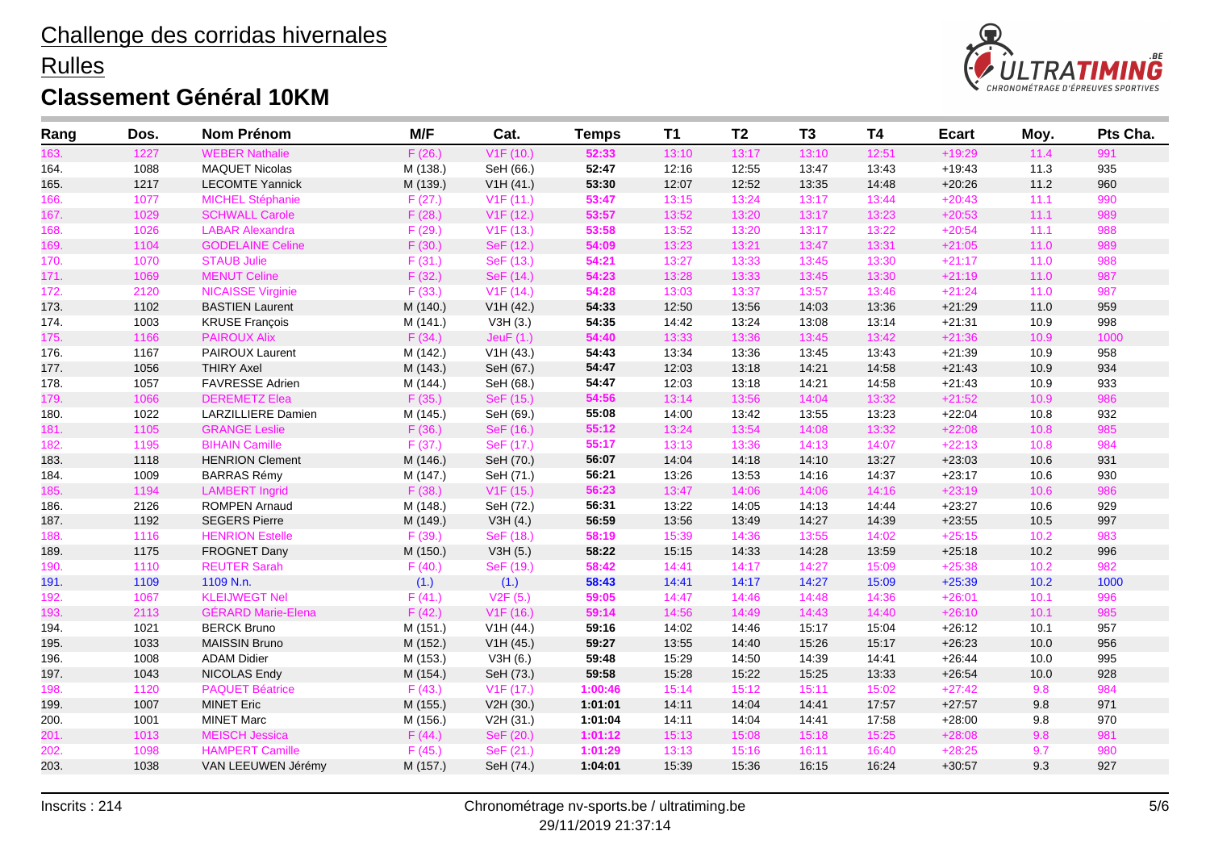**Rulles** 



| Rang | Dos. | <b>Nom Prénom</b>         | M/F      | Cat.                   | <b>Temps</b> | T1    | T <sub>2</sub> | T <sub>3</sub> | <b>T4</b> | <b>Ecart</b> | Moy. | Pts Cha. |
|------|------|---------------------------|----------|------------------------|--------------|-------|----------------|----------------|-----------|--------------|------|----------|
| 163. | 1227 | <b>WEBER Nathalie</b>     | F(26.)   | V1F(10.)               | 52:33        | 13:10 | 13:17          | 13:10          | 12:51     | $+19:29$     | 11.4 | 991      |
| 164. | 1088 | <b>MAQUET Nicolas</b>     | M (138.) | SeH (66.)              | 52:47        | 12:16 | 12:55          | 13:47          | 13:43     | $+19.43$     | 11.3 | 935      |
| 165. | 1217 | <b>LECOMTE Yannick</b>    | M (139.) | V1H(41.)               | 53:30        | 12:07 | 12:52          | 13:35          | 14:48     | $+20:26$     | 11.2 | 960      |
| 166. | 1077 | <b>MICHEL Stéphanie</b>   | F(27.)   | V1F(11.)               | 53:47        | 13:15 | 13:24          | 13:17          | 13:44     | $+20:43$     | 11.1 | 990      |
| 167. | 1029 | <b>SCHWALL Carole</b>     | F(28.)   | V1F(12.)               | 53:57        | 13:52 | 13:20          | 13:17          | 13:23     | $+20:53$     | 11.1 | 989      |
| 168. | 1026 | <b>LABAR Alexandra</b>    | F(29.)   | V1F(13.)               | 53:58        | 13:52 | 13:20          | 13:17          | 13:22     | $+20:54$     | 11.1 | 988      |
| 169. | 1104 | <b>GODELAINE Celine</b>   | F(30.)   | SeF (12.)              | 54:09        | 13:23 | 13:21          | 13:47          | 13:31     | $+21:05$     | 11.0 | 989      |
| 170. | 1070 | <b>STAUB Julie</b>        | F(31.)   | SeF (13.)              | 54:21        | 13:27 | 13:33          | 13:45          | 13:30     | $+21:17$     | 11.0 | 988      |
| 171. | 1069 | <b>MENUT Celine</b>       | F(32.)   | SeF (14.)              | 54:23        | 13:28 | 13:33          | 13:45          | 13:30     | $+21:19$     | 11.0 | 987      |
| 172. | 2120 | <b>NICAISSE Virginie</b>  | F(33.)   | V1F(14.)               | 54:28        | 13:03 | 13:37          | 13:57          | 13:46     | $+21:24$     | 11.0 | 987      |
| 173. | 1102 | <b>BASTIEN Laurent</b>    | M (140.) | V1H (42.)              | 54:33        | 12:50 | 13:56          | 14:03          | 13:36     | $+21:29$     | 11.0 | 959      |
| 174. | 1003 | <b>KRUSE François</b>     | M (141.) | V3H(3.)                | 54:35        | 14:42 | 13:24          | 13:08          | 13:14     | $+21:31$     | 10.9 | 998      |
| 175. | 1166 | <b>PAIROUX Alix</b>       | F(34.)   | <b>JeuF</b> (1.)       | 54:40        | 13:33 | 13:36          | 13:45          | 13:42     | $+21:36$     | 10.9 | 1000     |
| 176. | 1167 | PAIROUX Laurent           | M (142.) | V1H (43.)              | 54:43        | 13:34 | 13:36          | 13:45          | 13:43     | $+21:39$     | 10.9 | 958      |
| 177. | 1056 | <b>THIRY Axel</b>         | M (143.) | SeH (67.)              | 54:47        | 12:03 | 13:18          | 14:21          | 14:58     | $+21:43$     | 10.9 | 934      |
| 178. | 1057 | FAVRESSE Adrien           | M (144.) | SeH (68.)              | 54:47        | 12:03 | 13:18          | 14:21          | 14:58     | $+21:43$     | 10.9 | 933      |
| 179. | 1066 | <b>DEREMETZ Elea</b>      | F(35.)   | SeF (15.)              | 54:56        | 13:14 | 13:56          | 14:04          | 13:32     | $+21:52$     | 10.9 | 986      |
| 180. | 1022 | <b>LARZILLIERE Damien</b> | M (145.) | SeH (69.)              | 55:08        | 14:00 | 13:42          | 13:55          | 13:23     | $+22:04$     | 10.8 | 932      |
| 181. | 1105 | <b>GRANGE Leslie</b>      | F(36.)   | SeF (16.)              | 55:12        | 13:24 | 13:54          | 14:08          | 13:32     | $+22:08$     | 10.8 | 985      |
| 182. | 1195 | <b>BIHAIN Camille</b>     | F(37.)   | SeF (17.)              | 55:17        | 13:13 | 13:36          | 14:13          | 14:07     | $+22:13$     | 10.8 | 984      |
| 183. | 1118 | <b>HENRION Clement</b>    | M (146.) | SeH (70.)              | 56:07        | 14:04 | 14:18          | 14:10          | 13:27     | $+23:03$     | 10.6 | 931      |
| 184. | 1009 | <b>BARRAS Rémy</b>        | M (147.) | SeH (71.)              | 56:21        | 13:26 | 13:53          | 14:16          | 14:37     | $+23:17$     | 10.6 | 930      |
| 185. | 1194 | <b>LAMBERT Ingrid</b>     | F(38.)   | V <sub>1</sub> F (15.) | 56:23        | 13:47 | 14:06          | 14:06          | 14:16     | $+23:19$     | 10.6 | 986      |
| 186. | 2126 | <b>ROMPEN Arnaud</b>      | M (148.) | SeH (72.)              | 56:31        | 13:22 | 14:05          | 14:13          | 14:44     | $+23:27$     | 10.6 | 929      |
| 187. | 1192 | <b>SEGERS Pierre</b>      | M (149.) | V3H(4.)                | 56:59        | 13:56 | 13:49          | 14:27          | 14:39     | $+23:55$     | 10.5 | 997      |
| 188. | 1116 | <b>HENRION Estelle</b>    | F(39.)   | SeF (18.)              | 58:19        | 15:39 | 14:36          | 13:55          | 14:02     | $+25:15$     | 10.2 | 983      |
| 189. | 1175 | FROGNET Dany              | M (150.) | V3H(5.)                | 58:22        | 15:15 | 14:33          | 14:28          | 13:59     | $+25:18$     | 10.2 | 996      |
| 190. | 1110 | <b>REUTER Sarah</b>       | F(40.)   | SeF (19.)              | 58:42        | 14:41 | 14:17          | 14:27          | 15:09     | $+25:38$     | 10.2 | 982      |
| 191. | 1109 | 1109 N.n.                 | (1.)     | (1.)                   | 58:43        | 14:41 | 14:17          | 14:27          | 15:09     | $+25:39$     | 10.2 | 1000     |
| 192. | 1067 | <b>KLEIJWEGT Nel</b>      | F(41.)   | V2F(5.)                | 59:05        | 14:47 | 14:46          | 14:48          | 14:36     | $+26:01$     | 10.1 | 996      |
| 193. | 2113 | <b>GÉRARD Marie-Elena</b> | F(42.)   | V <sub>1</sub> F (16.) | 59:14        | 14:56 | 14:49          | 14:43          | 14:40     | $+26:10$     | 10.1 | 985      |
| 194. | 1021 | <b>BERCK Bruno</b>        | M (151.) | V1H (44.)              | 59:16        | 14:02 | 14:46          | 15:17          | 15:04     | $+26:12$     | 10.1 | 957      |
| 195. | 1033 | <b>MAISSIN Bruno</b>      | M (152.) | V1H (45.)              | 59:27        | 13:55 | 14:40          | 15:26          | 15:17     | $+26:23$     | 10.0 | 956      |
| 196. | 1008 | <b>ADAM Didier</b>        | M (153.) | V3H (6.)               | 59:48        | 15:29 | 14:50          | 14:39          | 14:41     | $+26.44$     | 10.0 | 995      |
| 197. | 1043 | <b>NICOLAS Endy</b>       | M (154.) | SeH (73.)              | 59:58        | 15:28 | 15:22          | 15:25          | 13:33     | $+26.54$     | 10.0 | 928      |
| 198. | 1120 | <b>PAQUET Béatrice</b>    | F(43.)   | V <sub>1</sub> F (17.) | 1:00:46      | 15:14 | 15:12          | 15:11          | 15:02     | $+27:42$     | 9.8  | 984      |
| 199. | 1007 | <b>MINET Eric</b>         | M (155.) | V2H (30.)              | 1:01:01      | 14:11 | 14:04          | 14:41          | 17:57     | $+27:57$     | 9.8  | 971      |
| 200. | 1001 | <b>MINET Marc</b>         | M (156.) | V2H (31.)              | 1:01:04      | 14:11 | 14:04          | 14:41          | 17:58     | $+28:00$     | 9.8  | 970      |
| 201. | 1013 | <b>MEISCH Jessica</b>     | F(44.)   | SeF (20.)              | 1:01:12      | 15:13 | 15:08          | 15:18          | 15:25     | $+28:08$     | 9.8  | 981      |
| 202. | 1098 | <b>HAMPERT Camille</b>    | F(45.)   | SeF (21.)              | 1:01:29      | 13:13 | 15:16          | 16:11          | 16:40     | $+28:25$     | 9.7  | 980      |
| 203. | 1038 | VAN LEEUWEN Jérémy        | M (157.) | SeH (74.)              | 1:04:01      | 15:39 | 15:36          | 16:15          | 16:24     | $+30.57$     | 9.3  | 927      |
|      |      |                           |          |                        |              |       |                |                |           |              |      |          |